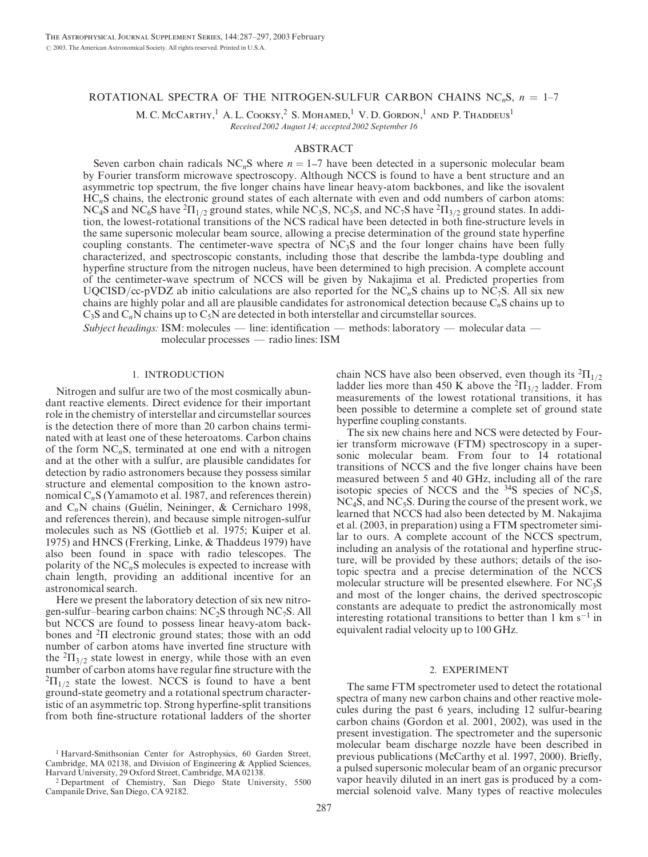## ROTATIONAL SPECTRA OF THE NITROGEN-SULFUR CARBON CHAINS  $NC_nS$ ,  $n = 1-7$

M. C. McCarthy,<sup>1</sup> A. L. Cooksy,<sup>2</sup> S. Mohamed,<sup>1</sup> V. D. Gordon,<sup>1</sup> and P. Thaddeus<sup>1</sup> Received 2002 August 14; accepted 2002 September 16

## ABSTRACT

Seven carbon chain radicals NC<sub>n</sub>S where  $n = 1-7$  have been detected in a supersonic molecular beam by Fourier transform microwave spectroscopy. Although NCCS is found to have a bent structure and an asymmetric top spectrum, the five longer chains have linear heavy-atom backbones, and like the isovalent  $HC_nS$  chains, the electronic ground states of each alternate with even and odd numbers of carbon atoms: NC<sub>4</sub>S and NC<sub>6</sub>S have <sup>2</sup> $\Pi_{1/2}$  ground states, while NC<sub>3</sub>S, NC<sub>5</sub>S, and NC<sub>7</sub>S have <sup>2</sup> $\Pi_{3/2}$  ground states. In addition, the lowest-rotational transitions of the NCS radical have been detected in both fine-structure levels in the same supersonic molecular beam source, allowing a precise determination of the ground state hyperfine coupling constants. The centimeter-wave spectra of  $NC<sub>3</sub>S$  and the four longer chains have been fully characterized, and spectroscopic constants, including those that describe the lambda-type doubling and hyperfine structure from the nitrogen nucleus, have been determined to high precision. A complete account of the centimeter-wave spectrum of NCCS will be given by Nakajima et al. Predicted properties from UQCISD/cc-pVDZ ab initio calculations are also reported for the NC<sub>n</sub>S chains up to NC<sub>7</sub>S. All six new chains are highly polar and all are plausible candidates for astronomical detection because  $C_nS$  chains up to  $C_3S$  and  $C_nN$  chains up to  $C_5N$  are detected in both interstellar and circumstellar sources.

Subject headings: ISM: molecules — line: identification — methods: laboratory — molecular data molecular processes — radio lines: ISM

#### 1. INTRODUCTION

Nitrogen and sulfur are two of the most cosmically abundant reactive elements. Direct evidence for their important role in the chemistry of interstellar and circumstellar sources is the detection there of more than 20 carbon chains terminated with at least one of these heteroatoms. Carbon chains of the form  $NC<sub>n</sub>S$ , terminated at one end with a nitrogen and at the other with a sulfur, are plausible candidates for detection by radio astronomers because they possess similar structure and elemental composition to the known astronomical  $C_nS$  (Yamamoto et al. 1987, and references therein) and  $C_nN$  chains (Guélin, Neininger, & Cernicharo 1998, and references therein), and because simple nitrogen-sulfur molecules such as NS (Gottlieb et al. 1975; Kuiper et al. 1975) and HNCS (Frerking, Linke, & Thaddeus 1979) have also been found in space with radio telescopes. The polarity of the  $NC<sub>n</sub>S$  molecules is expected to increase with chain length, providing an additional incentive for an astronomical search.

Here we present the laboratory detection of six new nitrogen-sulfur–bearing carbon chains:  $NC_2S$  through  $NC_7S$ . All but NCCS are found to possess linear heavy-atom backbones and  ${}^{2}\Pi$  electronic ground states; those with an odd number of carbon atoms have inverted fine structure with the  ${}^{2} \Pi_{3/2}$  state lowest in energy, while those with an even number of carbon atoms have regular fine structure with the  ${}^{2}\Pi_{1/2}$  state the lowest. NCCS is found to have a bent ground-state geometry and a rotational spectrum characteristic of an asymmetric top. Strong hyperfine-split transitions from both fine-structure rotational ladders of the shorter chain NCS have also been observed, even though its  ${}^{2}$  $\Pi_{1/2}$ ladder lies more than 450 K above the  ${}^{2}$  $\Pi_{3/2}$  ladder. From measurements of the lowest rotational transitions, it has been possible to determine a complete set of ground state hyperfine coupling constants.

The six new chains here and NCS were detected by Fourier transform microwave (FTM) spectroscopy in a supersonic molecular beam. From four to 14 rotational transitions of NCCS and the five longer chains have been measured between 5 and 40 GHz, including all of the rare isotopic species of NCCS and the  $34S$  species of NC<sub>3</sub>S,  $NC_4S$ , and  $NC_5S$ . During the course of the present work, we learned that NCCS had also been detected by M. Nakajima et al. (2003, in preparation) using a FTM spectrometer similar to ours. A complete account of the NCCS spectrum, including an analysis of the rotational and hyperfine structure, will be provided by these authors; details of the isotopic spectra and a precise determination of the NCCS molecular structure will be presented elsewhere. For  $NC_3S$ and most of the longer chains, the derived spectroscopic constants are adequate to predict the astronomically most interesting rotational transitions to better than  $1 \text{ km s}^{-1}$  in equivalent radial velocity up to 100 GHz.

#### 2. EXPERIMENT

The same FTM spectrometer used to detect the rotational spectra of many new carbon chains and other reactive molecules during the past 6 years, including 12 sulfur-bearing carbon chains (Gordon et al. 2001, 2002), was used in the present investigation. The spectrometer and the supersonic molecular beam discharge nozzle have been described in previous publications (McCarthy et al. 1997, 2000). Briefly, a pulsed supersonic molecular beam of an organic precursor vapor heavily diluted in an inert gas is produced by a commercial solenoid valve. Many types of reactive molecules

<sup>&</sup>lt;sup>1</sup> Harvard-Smithsonian Center for Astrophysics, 60 Garden Street, Cambridge, MA 02138, and Division of Engineering & Applied Sciences, Harvard University, 29 Oxford Street, Cambridge, MA 02138.

<sup>2</sup> Department of Chemistry, San Diego State University, 5500 Campanile Drive, San Diego, CA 92182.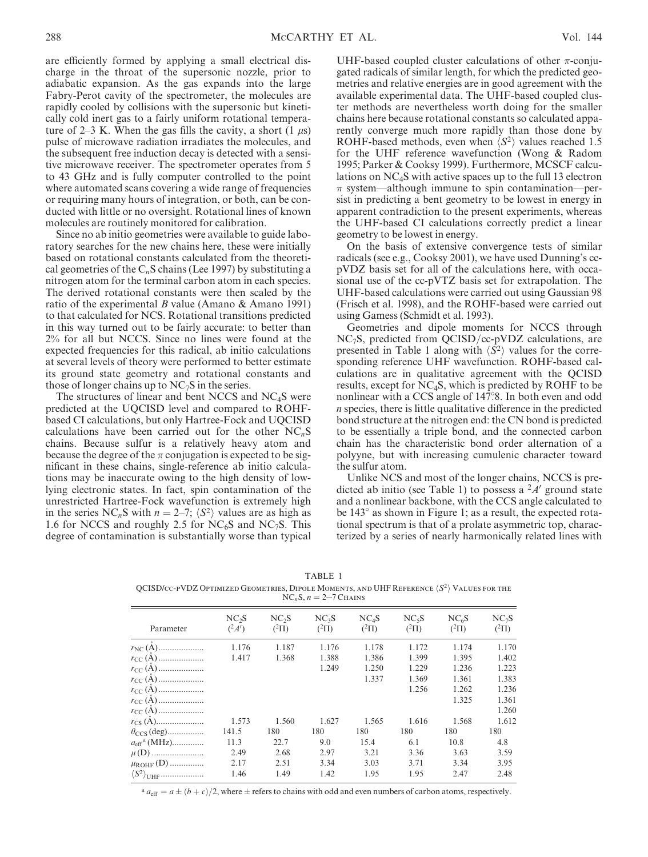are efficiently formed by applying a small electrical discharge in the throat of the supersonic nozzle, prior to adiabatic expansion. As the gas expands into the large Fabry-Perot cavity of the spectrometer, the molecules are rapidly cooled by collisions with the supersonic but kinetically cold inert gas to a fairly uniform rotational temperature of 2–3 K. When the gas fills the cavity, a short  $(1 \mu s)$ pulse of microwave radiation irradiates the molecules, and the subsequent free induction decay is detected with a sensitive microwave receiver. The spectrometer operates from 5 to 43 GHz and is fully computer controlled to the point where automated scans covering a wide range of frequencies or requiring many hours of integration, or both, can be conducted with little or no oversight. Rotational lines of known molecules are routinely monitored for calibration.

Since no ab initio geometries were available to guide laboratory searches for the new chains here, these were initially based on rotational constants calculated from the theoretical geometries of the  $C_nS$  chains (Lee 1997) by substituting a nitrogen atom for the terminal carbon atom in each species. The derived rotational constants were then scaled by the ratio of the experimental B value (Amano  $\&$  Amano 1991) to that calculated for NCS. Rotational transitions predicted in this way turned out to be fairly accurate: to better than 2% for all but NCCS. Since no lines were found at the expected frequencies for this radical, ab initio calculations at several levels of theory were performed to better estimate its ground state geometry and rotational constants and those of longer chains up to  $NC<sub>7</sub>S$  in the series.

The structures of linear and bent NCCS and  $NC_4$ S were predicted at the UQCISD level and compared to ROHFbased CI calculations, but only Hartree-Fock and UQCISD calculations have been carried out for the other  $NC_nS$ chains. Because sulfur is a relatively heavy atom and because the degree of the  $\pi$  conjugation is expected to be significant in these chains, single-reference ab initio calculations may be inaccurate owing to the high density of lowlying electronic states. In fact, spin contamination of the unrestricted Hartree-Fock wavefunction is extremely high in the series NC<sub>n</sub>S with  $n = 2-7$ ;  $\langle S^2 \rangle$  values are as high as 1.6 for NCCS and roughly 2.5 for  $NC_6S$  and  $NC_7S$ . This degree of contamination is substantially worse than typical

UHF-based coupled cluster calculations of other  $\pi$ -conjugated radicals of similar length, for which the predicted geometries and relative energies are in good agreement with the available experimental data. The UHF-based coupled cluster methods are nevertheless worth doing for the smaller chains here because rotational constants so calculated apparently converge much more rapidly than those done by ROHF-based methods, even when  $\langle S^2 \rangle$  values reached 1.5 for the UHF reference wavefunction (Wong & Radom 1995; Parker & Cooksy 1999). Furthermore, MCSCF calculations on NC4S with active spaces up to the full 13 electron  $\pi$  system—although immune to spin contamination—persist in predicting a bent geometry to be lowest in energy in apparent contradiction to the present experiments, whereas the UHF-based CI calculations correctly predict a linear geometry to be lowest in energy.

On the basis of extensive convergence tests of similar radicals (see e.g., Cooksy 2001), we have used Dunning's ccpVDZ basis set for all of the calculations here, with occasional use of the cc-pVTZ basis set for extrapolation. The UHF-based calculations were carried out using Gaussian 98 (Frisch et al. 1998), and the ROHF-based were carried out using Gamess (Schmidt et al. 1993).

Geometries and dipole moments for NCCS through NC7S, predicted from QCISD/cc-pVDZ calculations, are presented in Table 1 along with  $\langle S^2 \rangle$  values for the corresponding reference UHF wavefunction. ROHF-based calculations are in qualitative agreement with the QCISD results, except for NC4S, which is predicted by ROHF to be nonlinear with a CCS angle of 147*=*8. In both even and odd n species, there is little qualitative difference in the predicted bond structure at the nitrogen end: the CN bond is predicted to be essentially a triple bond, and the connected carbon chain has the characteristic bond order alternation of a polyyne, but with increasing cumulenic character toward the sulfur atom.

Unlike NCS and most of the longer chains, NCCS is predicted ab initio (see Table 1) to possess a  $^{2}A'$  ground state and a nonlinear backbone, with the CCS angle calculated to be 143° as shown in Figure 1; as a result, the expected rotational spectrum is that of a prolate asymmetric top, characterized by a series of nearly harmonically related lines with

| TABLE 1                                                                                                    |
|------------------------------------------------------------------------------------------------------------|
| QCISD/cc-pVDZ Optimized Geometries, Dipole Moments, and UHF Reference $\langle S^2 \rangle$ Values for the |
| $NC.S. n = 2-7 CHAINS$                                                                                     |

| $11 \cup n \cup n - 2$ / CHARS      |                                 |                                   |                                   |                        |                                  |                         |                                   |
|-------------------------------------|---------------------------------|-----------------------------------|-----------------------------------|------------------------|----------------------------------|-------------------------|-----------------------------------|
| Parameter                           | NC <sub>2</sub> S<br>$(^{2}A')$ | NC <sub>2</sub> S<br>$(^{2} \Pi)$ | NC <sub>3</sub> S<br>$(^{2} \Pi)$ | $NC_4S$<br>$(^{2}\Pi)$ | NC <sub>5</sub> S<br>$(^{2}\Pi)$ | $NC_6S$<br>$(^{2} \Pi)$ | NC <sub>7</sub> S<br>$(^{2} \Pi)$ |
|                                     | 1.176                           | 1.187                             | 1.176                             | 1.178                  | 1.172                            | 1.174                   | 1.170                             |
|                                     | 1.417                           | 1.368                             | 1.388                             | 1.386                  | 1.399                            | 1.395                   | 1.402                             |
|                                     |                                 |                                   | 1.249                             | 1.250                  | 1.229                            | 1.236                   | 1.223                             |
|                                     |                                 |                                   |                                   | 1.337                  | 1.369                            | 1.361                   | 1.383                             |
| $r_{CC}(A)$                         |                                 |                                   |                                   |                        | 1.256                            | 1.262                   | 1.236                             |
|                                     |                                 |                                   |                                   |                        |                                  | 1.325                   | 1.361                             |
|                                     |                                 |                                   |                                   |                        |                                  |                         | 1.260                             |
| $r_{\text{CS}}(A)$                  | 1.573                           | 1.560                             | 1.627                             | 1.565                  | 1.616                            | 1.568                   | 1.612                             |
| $\theta_{\text{CCS}}$ (deg)         | 141.5                           | 180                               | 180                               | 180                    | 180                              | 180                     | 180                               |
| $a_{\text{eff}}^{\text{a}}$ (MHz)   | 11.3                            | 22.7                              | 9.0                               | 15.4                   | 6.1                              | 10.8                    | 4.8                               |
| $\mu$ (D)                           | 2.49                            | 2.68                              | 2.97                              | 3.21                   | 3.36                             | 3.63                    | 3.59                              |
| $\mu_{ROHF}(D)$                     | 2.17                            | 2.51                              | 3.34                              | 3.03                   | 3.71                             | 3.34                    | 3.95                              |
| $\langle S^2\rangle_{\mathrm{UHF}}$ | 1.46                            | 1.49                              | 1.42                              | 1.95                   | 1.95                             | 2.47                    | 2.48                              |
|                                     |                                 |                                   |                                   |                        |                                  |                         |                                   |

 $a_{\text{def}} = a \pm (b+c)/2$ , where  $\pm$  refers to chains with odd and even numbers of carbon atoms, respectively.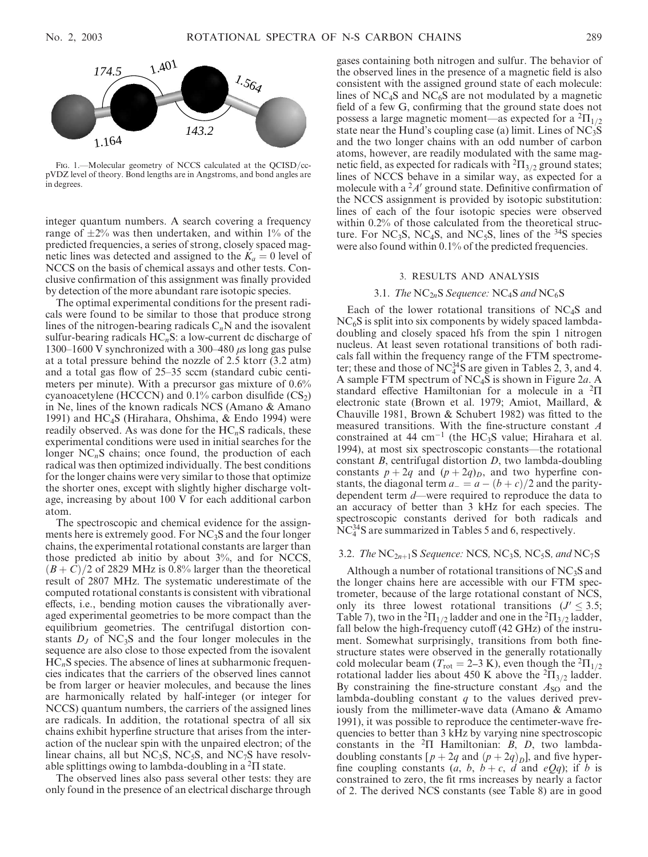

FIG. 1.-Molecular geometry of NCCS calculated at the QCISD/ccpVDZ level of theory. Bond lengths are in Angstroms, and bond angles are in degrees.

integer quantum numbers. A search covering a frequency range of  $\pm 2\%$  was then undertaken, and within 1% of the predicted frequencies, a series of strong, closely spaced magnetic lines was detected and assigned to the  $K_a = 0$  level of NCCS on the basis of chemical assays and other tests. Conclusive confirmation of this assignment was finally provided by detection of the more abundant rare isotopic species.

The optimal experimental conditions for the present radicals were found to be similar to those that produce strong lines of the nitrogen-bearing radicals  $C_nN$  and the isovalent sulfur-bearing radicals  $HC_nS$ : a low-current dc discharge of 1300–1600 V synchronized with a 300–480  $\mu$ s long gas pulse at a total pressure behind the nozzle of 2.5 ktorr (3.2 atm) and a total gas flow of 25–35 sccm (standard cubic centimeters per minute). With a precursor gas mixture of 0.6% cyanoacetylene (HCCCN) and  $0.1\%$  carbon disulfide (CS<sub>2</sub>) in Ne, lines of the known radicals NCS (Amano & Amano 1991) and HC4S (Hirahara, Ohshima, & Endo 1994) were readily observed. As was done for the  $HC_nS$  radicals, these experimental conditions were used in initial searches for the longer  $NC_nS$  chains; once found, the production of each radical was then optimized individually. The best conditions for the longer chains were very similar to those that optimize the shorter ones, except with slightly higher discharge voltage, increasing by about 100 V for each additional carbon atom.

The spectroscopic and chemical evidence for the assignments here is extremely good. For NC<sub>3</sub>S and the four longer chains, the experimental rotational constants are larger than those predicted ab initio by about 3%, and for NCCS,  $(B+C)/2$  of 2829 MHz is 0.8% larger than the theoretical result of 2807 MHz. The systematic underestimate of the computed rotational constants is consistent with vibrational effects, i.e., bending motion causes the vibrationally averaged experimental geometries to be more compact than the equilibrium geometries. The centrifugal distortion constants  $D_J$  of NC<sub>3</sub>S and the four longer molecules in the sequence are also close to those expected from the isovalent  $HC<sub>n</sub>S$  species. The absence of lines at subharmonic frequencies indicates that the carriers of the observed lines cannot be from larger or heavier molecules, and because the lines are harmonically related by half-integer (or integer for NCCS) quantum numbers, the carriers of the assigned lines are radicals. In addition, the rotational spectra of all six chains exhibit hyperfine structure that arises from the interaction of the nuclear spin with the unpaired electron; of the linear chains, all but  $NC_3S$ ,  $NC_5S$ , and  $NC_7S$  have resolvable splittings owing to lambda-doubling in a  ${}^{2}$  $\Pi$  state.

The observed lines also pass several other tests: they are only found in the presence of an electrical discharge through

gases containing both nitrogen and sulfur. The behavior of the observed lines in the presence of a magnetic field is also consistent with the assigned ground state of each molecule: lines of  $NC_4S$  and  $NC_6S$  are not modulated by a magnetic field of a few G, confirming that the ground state does not possess a large magnetic moment—as expected for a  ${}^{2}$  $\Pi_{1/2}$ state near the Hund's coupling case (a) limit. Lines of  $NC_3S$ and the two longer chains with an odd number of carbon atoms, however, are readily modulated with the same magnetic field, as expected for radicals with  ${}^{2} \Pi_{3/2}$  ground states; lines of NCCS behave in a similar way, as expected for a molecule with a  $2A'$  ground state. Definitive confirmation of the NCCS assignment is provided by isotopic substitution: lines of each of the four isotopic species were observed within 0.2% of those calculated from the theoretical structure. For NC<sub>3</sub>S, NC<sub>4</sub>S, and NC<sub>5</sub>S, lines of the  $34S$  species

#### 3. RESULTS AND ANALYSIS

were also found within 0.1% of the predicted frequencies.

## 3.1. The  $NC_{2n}S$  Sequence:  $NC_4S$  and  $NC_6S$

Each of the lower rotational transitions of  $NC_4S$  and  $NC_6S$  is split into six components by widely spaced lambdadoubling and closely spaced hfs from the spin 1 nitrogen nucleus. At least seven rotational transitions of both radicals fall within the frequency range of the FTM spectrometer; these and those of  $NC_4^{34}$ S are given in Tables 2, 3, and 4. A sample FTM spectrum of  $NC_4S$  is shown in Figure 2a. A standard effective Hamiltonian for a molecule in a  ${}^{2}\Pi$ electronic state (Brown et al. 1979; Amiot, Maillard, & Chauville 1981, Brown & Schubert 1982) was fitted to the measured transitions. With the fine-structure constant A constrained at  $44 \text{ cm}^{-1}$  (the HC<sub>3</sub>S value; Hirahara et al. 1994), at most six spectroscopic constants—the rotational constant B, centrifugal distortion D, two lambda-doubling constants  $p + 2q$  and  $(p + 2q)_D$ , and two hyperfine constants, the diagonal term  $a_{-} = a - (b + c)/2$  and the paritydependent term d—were required to reproduce the data to an accuracy of better than 3 kHz for each species. The spectroscopic constants derived for both radicals and NC<sup>34</sup> <sup>4</sup> S are summarized in Tables 5 and 6, respectively.

# 3.2. The  $NC_{2n+1}S$  Sequence: NCS, NC<sub>3</sub>S, NC<sub>5</sub>S, and NC<sub>7</sub>S

Although a number of rotational transitions of  $NC_3S$  and the longer chains here are accessible with our FTM spectrometer, because of the large rotational constant of NCS, only its three lowest rotational transitions ( $J' \leq 3.5$ ; Table 7), two in the  ${}^{2}\Pi_{1/2}$  ladder and one in the  ${}^{2}\Pi_{3/2}$  ladder, fall below the high-frequency cutoff (42 GHz) of the instrument. Somewhat surprisingly, transitions from both finestructure states were observed in the generally rotationally cold molecular beam ( $T_{\text{rot}} = 2-3$  K), even though the  ${}^{2} \Pi_{1/2}$ rotational ladder lies about 450 K above the  ${}^{2}$  $\Pi_{3/2}$  ladder. By constraining the fine-structure constant  $A_{SO}$  and the lambda-doubling constant  $q$  to the values derived previously from the millimeter-wave data (Amano & Amamo 1991), it was possible to reproduce the centimeter-wave frequencies to better than 3 kHz by varying nine spectroscopic constants in the  ${}^{2}\Pi$  Hamiltonian: B, D, two lambdadoubling constants  $[p + 2q$  and  $(p + 2q)_D$ , and five hyperfine coupling constants (a, b,  $b + c$ , d and eQq); if b is constrained to zero, the fit rms increases by nearly a factor of 2. The derived NCS constants (see Table 8) are in good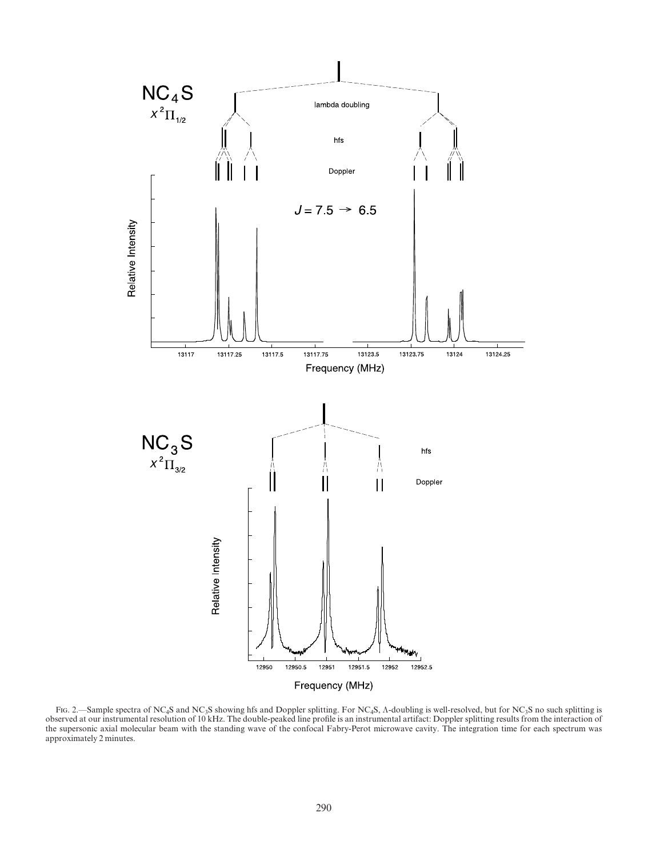

Fig. 2.—Sample spectra of NC<sub>4</sub>S and NC<sub>3</sub>S showing hfs and Doppler splitting. For NC<sub>4</sub>S,  $\Lambda$ -doubling is well-resolved, but for NC<sub>3</sub>S no such splitting is observed at our instrumental resolution of 10 kHz. The doublethe supersonic axial molecular beam with the standing wave of the confocal Fabry-Perot microwave cavity. The integration time for each spectrum was approximately 2 minutes.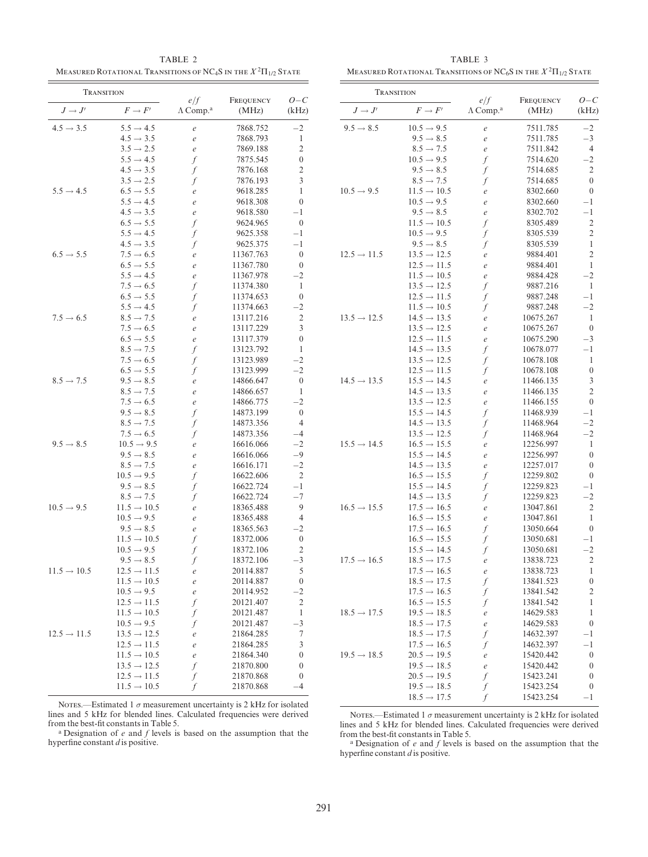TABLE 2 MEASURED ROTATIONAL TRANSITIONS OF NC<sub>4</sub>S IN THE  $X\,{}^{2}\Pi_{1/2}$  State

TABLE 3 MEASURED ROTATIONAL TRANSITIONS OF NC<sub>6</sub>S IN THE  $X^2\Pi_{1/2}$  State

| <b>TRANSITION</b>       |                                                | e/f                                  |                        | 0-C                       |
|-------------------------|------------------------------------------------|--------------------------------------|------------------------|---------------------------|
| $J \rightarrow J'$      | $F \to F'$                                     | $\Lambda$ Comp. <sup>a</sup>         | FREQUENCY<br>(MHz)     | (kHz)                     |
| $4.5 \rightarrow 3.5$   | $5.5 \rightarrow 4.5$                          | e                                    | 7868.752               | $^{-2}$                   |
|                         | $4.5 \rightarrow 3.5$                          | $\boldsymbol{e}$                     | 7868.793               | 1                         |
|                         | $3.5 \rightarrow 2.5$                          | $\boldsymbol{e}$                     | 7869.188               | 2                         |
|                         | $5.5 \rightarrow 4.5$                          | f                                    | 7875.545               | $\boldsymbol{0}$          |
|                         | $4.5 \rightarrow 3.5$                          | f                                    | 7876.168               | 2                         |
|                         | $3.5 \rightarrow 2.5$                          | f                                    | 7876.193               | 3                         |
| $5.5 \rightarrow 4.5$   | $6.5 \rightarrow 5.5$                          | $\epsilon$                           | 9618.285               | 1                         |
|                         | $5.5 \rightarrow 4.5$                          | $\boldsymbol{e}$                     | 9618.308               | $\boldsymbol{0}$          |
|                         | $4.5 \rightarrow 3.5$                          | $\ell$                               | 9618.580               | $^{-1}$                   |
|                         | $6.5 \rightarrow 5.5$                          | $\int$                               | 9624.965               | 0                         |
|                         | $5.5 \rightarrow 4.5$                          | f                                    | 9625.358               | -1                        |
|                         | $4.5 \rightarrow 3.5$                          | f                                    | 9625.375               | $-1$                      |
| $6.5 \rightarrow 5.5$   | $7.5 \rightarrow 6.5$                          | $\epsilon$                           | 11367.763              | 0                         |
|                         | $6.5 \rightarrow 5.5$                          | $\boldsymbol{e}$                     | 11367.780              | 0                         |
|                         | $5.5 \rightarrow 4.5$                          | $\ell$                               | 11367.978              | $^{-2}$                   |
|                         | $7.5 \rightarrow 6.5$                          | $\int$                               | 11374.380              | 1                         |
|                         | $6.5 \rightarrow 5.5$                          | $\int$                               | 11374.653              | 0                         |
|                         | $5.5 \rightarrow 4.5$                          | f                                    | 11374.663              | $^{-2}$<br>$\mathfrak{2}$ |
| $7.5 \rightarrow 6.5$   | $8.5 \rightarrow 7.5$<br>$7.5 \rightarrow 6.5$ | $\boldsymbol{e}$                     | 13117.216<br>13117.229 | 3                         |
|                         | $6.5 \rightarrow 5.5$                          | $\boldsymbol{e}$<br>$\boldsymbol{e}$ | 13117.379              | 0                         |
|                         | $8.5 \rightarrow 7.5$                          | $\int$                               | 13123.792              | 1                         |
|                         | $7.5 \rightarrow 6.5$                          | f                                    | 13123.989              | $^{-2}$                   |
|                         | $6.5 \rightarrow 5.5$                          | f                                    | 13123.999              | $^{-2}$                   |
| $8.5 \rightarrow 7.5$   | $9.5 \rightarrow 8.5$                          | $\boldsymbol{e}$                     | 14866.647              | $\boldsymbol{0}$          |
|                         | $8.5 \rightarrow 7.5$                          | $\ell$                               | 14866.657              | 1                         |
|                         | $7.5 \rightarrow 6.5$                          | $\boldsymbol{e}$                     | 14866.775              | $^{-2}$                   |
|                         | $9.5 \rightarrow 8.5$                          | $\int$                               | 14873.199              | $\boldsymbol{0}$          |
|                         | $8.5 \rightarrow 7.5$                          | f                                    | 14873.356              | 4                         |
|                         | $7.5 \rightarrow 6.5$                          | f                                    | 14873.356              | -4                        |
| $9.5 \rightarrow 8.5$   | $10.5 \rightarrow 9.5$                         | $\boldsymbol{e}$                     | 16616.066              | $^{-2}$                   |
|                         | $9.5 \rightarrow 8.5$                          | $\ell$                               | 16616.066              | -9                        |
|                         | $8.5 \rightarrow 7.5$                          | $\boldsymbol{e}$                     | 16616.171              | $^{-2}$                   |
|                         | $10.5 \rightarrow 9.5$                         | f                                    | 16622.606              | 2                         |
|                         | $9.5 \rightarrow 8.5$                          | f                                    | 16622.724              | -1                        |
|                         | $8.5 \rightarrow 7.5$                          | f                                    | 16622.724              | $^{-7}$                   |
| $10.5 \rightarrow 9.5$  | $11.5 \rightarrow 10.5$                        | $\epsilon$                           | 18365.488              | 9                         |
|                         | $10.5 \rightarrow 9.5$                         | $\ell$                               | 18365.488              | 4                         |
|                         | $9.5 \rightarrow 8.5$                          | $\boldsymbol{e}$                     | 18365.563              | $^{-2}$                   |
|                         | $11.5 \rightarrow 10.5$                        | f                                    | 18372.006              | 0                         |
|                         | $10.5 \rightarrow 9.5$                         | f                                    | 18372.106              | 2                         |
|                         | $9.5 \rightarrow 8.5$                          | f                                    | 18372.106              | $^{-3}$                   |
| $11.5 \rightarrow 10.5$ | $12.5 \rightarrow 11.5$                        | $\boldsymbol{e}$                     | 20114.887              | 5                         |
|                         | $11.5 \rightarrow 10.5$                        | $\boldsymbol{e}$                     | 20114.887              | 0                         |
|                         | $10.5 \rightarrow 9.5$                         | $\boldsymbol{e}$                     | 20114.952              | $^{-2}$                   |
|                         | $12.5 \rightarrow 11.5$                        | f                                    | 20121.407              | $\mathfrak{2}$            |
|                         | $11.5 \rightarrow 10.5$                        | f                                    | 20121.487              | $\mathbf{1}$              |
|                         | $10.5 \rightarrow 9.5$                         | f                                    | 20121.487              | $^{-3}$                   |
| $12.5 \rightarrow 11.5$ | $13.5 \rightarrow 12.5$                        | $\epsilon$                           | 21864.285              | 7                         |
|                         | $12.5 \rightarrow 11.5$                        | $\boldsymbol{e}$                     | 21864.285              | 3                         |
|                         | $11.5 \rightarrow 10.5$                        | $\boldsymbol{\varrho}$               | 21864.340              | 0                         |
|                         | $13.5 \rightarrow 12.5$                        | f                                    | 21870.800              | 0                         |
|                         | $12.5 \rightarrow 11.5$                        | f                                    | 21870.868              | 0                         |
|                         | $11.5 \rightarrow 10.5$                        | f                                    | 21870.868              | $-4$                      |

| TRANSITION              |                                                    |                                     |                        |                  |
|-------------------------|----------------------------------------------------|-------------------------------------|------------------------|------------------|
| $J \to J'$              | $F \to F'$                                         | e/f<br>$\Lambda$ Comp. <sup>a</sup> | FREQUENCY<br>(MHz)     | 0-C<br>(kHz)     |
| $9.5 \rightarrow 8.5$   | $10.5 \rightarrow 9.5$                             | $\boldsymbol{e}$                    | 7511.785               | $^{-2}$          |
|                         | $9.5 \rightarrow 8.5$                              | $\ell$                              | 7511.785               | $-3$             |
|                         | $8.5 \rightarrow 7.5$                              | $\ell$                              | 7511.842               | 4                |
|                         | $10.5 \rightarrow 9.5$                             | f                                   | 7514.620               | -2               |
|                         | $9.5 \rightarrow 8.5$                              | f                                   | 7514.685               | 2                |
|                         | $8.5 \rightarrow 7.5$                              | f                                   | 7514.685               | $\boldsymbol{0}$ |
| $10.5 \rightarrow 9.5$  | $11.5 \rightarrow 10.5$                            | $\boldsymbol{e}$                    | 8302.660               | 0                |
|                         | $10.5 \rightarrow 9.5$                             | $\boldsymbol{\varrho}$              | 8302.660               | $-1$             |
|                         | $9.5 \rightarrow 8.5$                              | $\ell$                              | 8302.702               | $-1$             |
|                         | $11.5 \rightarrow 10.5$                            | f                                   | 8305.489               | 2                |
|                         | $10.5 \rightarrow 9.5$                             | f                                   | 8305.539               | 2                |
|                         | $9.5 \rightarrow 8.5$                              | f                                   | 8305.539               | 1                |
| $12.5 \rightarrow 11.5$ | $13.5 \rightarrow 12.5$                            | $\boldsymbol{e}$                    | 9884.401               | 2                |
|                         | $12.5 \rightarrow 11.5$                            | $\boldsymbol{\varrho}$              | 9884.401               | 1                |
|                         | $11.5 \rightarrow 10.5$                            | $\ell$                              | 9884.428               | -2               |
|                         | $13.5 \rightarrow 12.5$                            | f                                   | 9887.216               | 1                |
|                         | $12.5 \rightarrow 11.5$                            | f                                   | 9887.248               | $-1$             |
|                         | $11.5 \rightarrow 10.5$                            | f                                   | 9887.248               | $^{-2}$          |
| $13.5 \rightarrow 12.5$ | $14.5 \rightarrow 13.5$                            | $\boldsymbol{\varrho}$              | 10675.267              | 1                |
|                         | $13.5 \rightarrow 12.5$                            | $\ell$                              | 10675.267              | $\boldsymbol{0}$ |
|                         | $12.5 \rightarrow 11.5$                            | $\ell$                              | 10675.290              | $^{-3}$          |
|                         | $14.5 \rightarrow 13.5$                            | f                                   | 10678.077              | $^{-1}$          |
|                         | $13.5 \rightarrow 12.5$                            | f                                   | 10678.108              | 1                |
|                         | $12.5 \rightarrow 11.5$                            | f                                   | 10678.108              | 0                |
| $14.5 \rightarrow 13.5$ | $15.5 \rightarrow 14.5$                            | $\boldsymbol{\varrho}$              | 11466.135              | 3                |
|                         | $14.5 \rightarrow 13.5$                            | $\ell$                              | 11466.135              | 2                |
|                         | $13.5 \rightarrow 12.5$                            | $\ell$                              | 11466.155              | $\boldsymbol{0}$ |
|                         | $15.5 \rightarrow 14.5$                            | f                                   | 11468.939              | $-1$             |
|                         | $14.5 \rightarrow 13.5$                            | f                                   | 11468.964              | -2               |
|                         | $13.5 \rightarrow 12.5$                            | f                                   | 11468.964              | $^{-2}$          |
| $15.5 \rightarrow 14.5$ | $16.5 \rightarrow 15.5$                            | $\boldsymbol{\varrho}$              | 12256.997              | 1                |
|                         | $15.5 \rightarrow 14.5$<br>$14.5 \rightarrow 13.5$ | $\ell$                              | 12256.997              | 0                |
|                         |                                                    | $\ell$                              | 12257.017              | 0                |
|                         | $16.5 \rightarrow 15.5$<br>$15.5 \rightarrow 14.5$ | f<br>f                              | 12259.802<br>12259.823 | 0<br>$-1$        |
|                         | $14.5 \rightarrow 13.5$                            | f                                   | 12259.823              | -2               |
| $16.5 \rightarrow 15.5$ | $17.5 \rightarrow 16.5$                            | $\ell$                              | 13047.861              | 2                |
|                         | $16.5 \rightarrow 15.5$                            | $\ell$                              | 13047.861              | 1                |
|                         | $17.5 \rightarrow 16.5$                            | f                                   | 13050.664              | $\boldsymbol{0}$ |
|                         | $16.5 \rightarrow 15.5$                            | f                                   | 13050.681              | $-1$             |
|                         | $15.5 \rightarrow 14.5$                            | f                                   | 13050.681              | $^{-2}$          |
| $17.5 \rightarrow 16.5$ | $18.5 \rightarrow 17.5$                            | $\boldsymbol{e}$                    | 13838.723              | 2                |
|                         | $17.5 \rightarrow 16.5$                            | $\boldsymbol{e}$                    | 13838.723              | 1                |
|                         | $18.5 \rightarrow 17.5$                            | f                                   | 13841.523              | 0                |
|                         | $17.5 \rightarrow 16.5$                            | f                                   | 13841.542              | 2                |
|                         | $16.5 \rightarrow 15.5$                            | f                                   | 13841.542              | 1                |
| $18.5 \rightarrow 17.5$ | $19.5 \rightarrow 18.5$                            | $\boldsymbol{e}$                    | 14629.583              | 1                |
|                         | $18.5 \rightarrow 17.5$                            | $\boldsymbol{e}$                    | 14629.583              | 0                |
|                         | $18.5 \rightarrow 17.5$                            | f                                   | 14632.397              | $-1$             |
|                         | $17.5 \rightarrow 16.5$                            | f                                   | 14632.397              | $^{-1}$          |
| $19.5 \rightarrow 18.5$ | $20.5 \rightarrow 19.5$                            | $\boldsymbol{e}$                    | 15420.442              | 0                |
|                         | $19.5 \rightarrow 18.5$                            | $\boldsymbol{e}$                    | 15420.442              | 0                |
|                         | $20.5 \rightarrow 19.5$                            | f                                   | 15423.241              | 0                |
|                         | $19.5 \rightarrow 18.5$                            | f                                   | 15423.254              | $\boldsymbol{0}$ |
|                         | $18.5 \rightarrow 17.5$                            | f                                   | 15423.254              | $-1$             |
|                         |                                                    |                                     |                        |                  |

Nores.—Estimated 1  $\sigma$  measurement uncertainty is 2 kHz for isolated lines and 5 kHz for blended lines. Calculated frequencies were derived from the best-fit constants in Table 5.

a Designation of  $e$  and  $f$  levels is based on the assumption that the hyperfine constant d is positive.

Nores.—Estimated 1  $\sigma$  measurement uncertainty is 2 kHz for isolated lines and 5 kHz for blended lines. Calculated frequencies were derived from the best-fit constants in Table 5.

a Designation of  $e$  and  $f$  levels is based on the assumption that the hyperfine constant  $d$  is positive.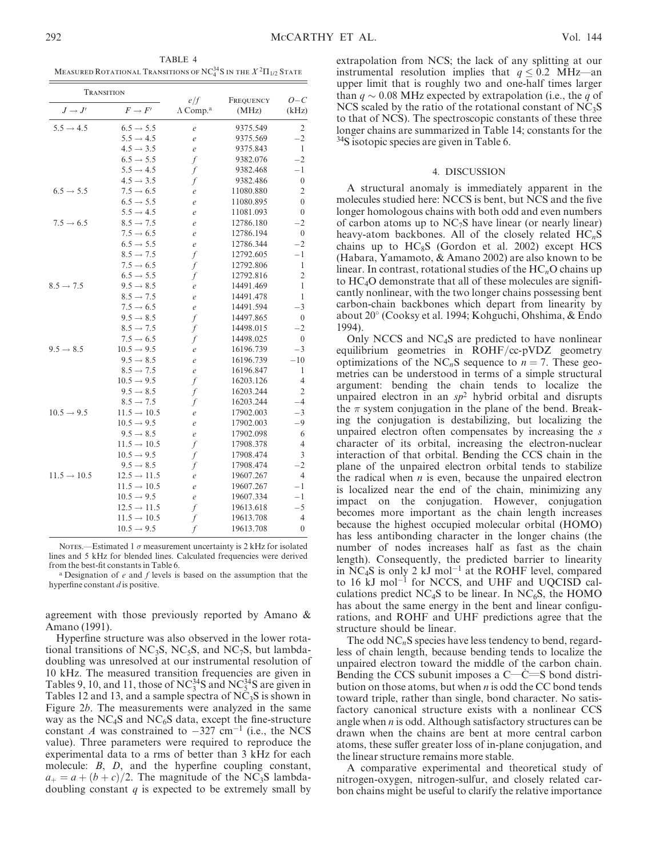|                         | <b>TRANSITION</b>       | e/f                          | FREQUENCY | $O-C$            |
|-------------------------|-------------------------|------------------------------|-----------|------------------|
| $J \rightarrow J'$      | $F \to F'$              | $\Lambda$ Comp. <sup>a</sup> | (MHz)     | (kHz)            |
| $5.5 \rightarrow 4.5$   | $6.5 \rightarrow 5.5$   | $\ell$                       | 9375.549  | $\overline{2}$   |
|                         | $5.5 \rightarrow 4.5$   | $\boldsymbol{e}$             | 9375.569  | $-2$             |
|                         | $4.5 \rightarrow 3.5$   | $\boldsymbol{\varrho}$       | 9375.843  | $\mathbf{1}$     |
|                         | $6.5 \rightarrow 5.5$   | $\int$                       | 9382.076  | $-2$             |
|                         | $5.5 \rightarrow 4.5$   | f                            | 9382.468  | $-1$             |
|                         | $4.5 \rightarrow 3.5$   | f                            | 9382.486  | $\boldsymbol{0}$ |
| $6.5 \rightarrow 5.5$   | $7.5 \rightarrow 6.5$   | $\boldsymbol{e}$             | 11080.880 | $\mathfrak{2}$   |
|                         | $6.5 \rightarrow 5.5$   | $\ell$                       | 11080.895 | $\overline{0}$   |
|                         | $5.5 \rightarrow 4.5$   | $\ell$                       | 11081.093 | $\overline{0}$   |
| $7.5 \rightarrow 6.5$   | $8.5 \rightarrow 7.5$   | $\ell$                       | 12786.180 | $-2$             |
|                         | $7.5 \rightarrow 6.5$   | $\mathcal{C}_{0}$            | 12786.194 | $\theta$         |
|                         | $6.5 \rightarrow 5.5$   | $\ell$                       | 12786.344 | $-2$             |
|                         | $8.5 \rightarrow 7.5$   | $\int$                       | 12792.605 | $-1$             |
|                         | $7.5 \rightarrow 6.5$   | $\int$                       | 12792.806 | $\mathbf{1}$     |
|                         | $6.5 \rightarrow 5.5$   | f                            | 12792.816 | $\mathfrak{2}$   |
| $8.5 \rightarrow 7.5$   | $9.5 \rightarrow 8.5$   | $\boldsymbol{e}$             | 14491.469 | 1                |
|                         | $8.5 \rightarrow 7.5$   | $\ell$                       | 14491.478 | 1                |
|                         | $7.5 \rightarrow 6.5$   | $\ell$                       | 14491.594 | $-3$             |
|                         | $9.5 \rightarrow 8.5$   | $\int$                       | 14497.865 | $\mathbf{0}$     |
|                         | $8.5 \rightarrow 7.5$   | f                            | 14498.015 | $-2$             |
|                         | $7.5 \rightarrow 6.5$   | $\int$                       | 14498.025 | $\boldsymbol{0}$ |
| $9.5 \rightarrow 8.5$   | $10.5 \rightarrow 9.5$  | e                            | 16196.739 | $-3$             |
|                         | $9.5 \rightarrow 8.5$   | $\ell$                       | 16196.739 | $-10$            |
|                         | $8.5 \rightarrow 7.5$   | $\boldsymbol{e}$             | 16196.847 | 1                |
|                         | $10.5 \rightarrow 9.5$  | $\int$                       | 16203.126 | 4                |
|                         | $9.5 \rightarrow 8.5$   | f                            | 16203.244 | $\overline{2}$   |
|                         | $8.5 \rightarrow 7.5$   | f                            | 16203.244 | $-4$             |
| $10.5 \rightarrow 9.5$  | $11.5 \rightarrow 10.5$ | $\boldsymbol{e}$             | 17902.003 | $^{-3}$          |
|                         | $10.5 \rightarrow 9.5$  | $\ell$                       | 17902.003 | -9               |
|                         | $9.5 \rightarrow 8.5$   | $\boldsymbol{e}$             | 17902.098 | 6                |
|                         | $11.5 \rightarrow 10.5$ | f                            | 17908.378 | 4                |
|                         | $10.5 \rightarrow 9.5$  | $\int$                       | 17908.474 | 3                |
|                         | $9.5 \rightarrow 8.5$   | f                            | 17908.474 | $-2$             |
| $11.5 \rightarrow 10.5$ | $12.5 \rightarrow 11.5$ | $\ell$                       | 19607.267 | 4                |
|                         | $11.5 \rightarrow 10.5$ | $\ell$                       | 19607.267 | $-1$             |
|                         | $10.5 \rightarrow 9.5$  | $\ell$                       | 19607.334 | $-1$             |
|                         | $12.5 \rightarrow 11.5$ | $\int$                       | 19613.618 | $-5$             |
|                         | $11.5 \rightarrow 10.5$ | $\int$                       | 19613.708 | 4                |
|                         | $10.5 \rightarrow 9.5$  |                              | 19613.708 | $\overline{0}$   |

Nores.—Estimated 1  $\sigma$  measurement uncertainty is 2 kHz for isolated lines and 5 kHz for blended lines. Calculated frequencies were derived from the best-fit constants in Table 6.

<sup>a</sup> Designation of  $e$  and  $f$  levels is based on the assumption that the hyperfine constant  $d$  is positive.

agreement with those previously reported by Amano & Amano (1991).

Hyperfine structure was also observed in the lower rotational transitions of NC<sub>3</sub>S, NC<sub>5</sub>S, and NC<sub>7</sub>S, but lambdadoubling was unresolved at our instrumental resolution of 10 kHz. The measured transition frequencies are given in Tables 9, 10, and 11, those of  $NC_3^{34}S$  and  $NC_5^{34}S$  are given in Tables 12 and 13, and a sample spectra of  $NC_3S$  is shown in Figure 2b. The measurements were analyzed in the same way as the  $NC_4S$  and  $NC_6S$  data, except the fine-structure constant A was constrained to  $-327$  cm<sup>-1</sup> (i.e., the NCS value). Three parameters were required to reproduce the experimental data to a rms of better than 3 kHz for each molecule: *B*, *D*, and the hyperfine coupling constant,  $a_+ = a + (b+c)/2$ . The magnitude of the NC<sub>3</sub>S lambdadoubling constant  $q$  is expected to be extremely small by

extrapolation from NCS; the lack of any splitting at our instrumental resolution implies that  $q \le 0.2$  MHz—an upper limit that is roughly two and one-half times larger than  $q \sim 0.08$  MHz expected by extrapolation (i.e., the q of NCS scaled by the ratio of the rotational constant of  $NC_3S$ to that of NCS). The spectroscopic constants of these three longer chains are summarized in Table 14; constants for the 34S isotopic species are given in Table 6.

### 4. DISCUSSION

A structural anomaly is immediately apparent in the molecules studied here: NCCS is bent, but NCS and the five longer homologous chains with both odd and even numbers of carbon atoms up to  $NC<sub>7</sub>S$  have linear (or nearly linear) heavy-atom backbones. All of the closely related  $HC_nS$ chains up to  $HC_8S$  (Gordon et al. 2002) except HCS (Habara, Yamamoto, & Amano 2002) are also known to be linear. In contrast, rotational studies of the  $HC_nO$  chains up to HC4O demonstrate that all of these molecules are significantly nonlinear, with the two longer chains possessing bent carbon-chain backbones which depart from linearity by about 20° (Cooksy et al. 1994; Kohguchi, Ohshima, & Endo 1994).

Only NCCS and NC4S are predicted to have nonlinear equilibrium geometries in ROHF/cc-pVDZ geometry optimizations of the NC<sub>n</sub>S sequence to  $n = 7$ . These geometries can be understood in terms of a simple structural argument: bending the chain tends to localize the unpaired electron in an  $sp^2$  hybrid orbital and disrupts the  $\pi$  system conjugation in the plane of the bend. Breaking the conjugation is destabilizing, but localizing the unpaired electron often compensates by increasing the s character of its orbital, increasing the electron-nuclear interaction of that orbital. Bending the CCS chain in the plane of the unpaired electron orbital tends to stabilize the radical when  $n$  is even, because the unpaired electron is localized near the end of the chain, minimizing any impact on the conjugation. However, conjugation becomes more important as the chain length increases because the highest occupied molecular orbital (HOMO) has less antibonding character in the longer chains (the number of nodes increases half as fast as the chain length). Consequently, the predicted barrier to linearity in NC<sub>4</sub>S is only 2 kJ mol<sup>-1</sup> at the ROHF level, compared to 16 kJ mol<sup>-1</sup> for NCCS, and UHF and UQCISD calculations predict  $NC_4S$  to be linear. In  $NC_6S$ , the HOMO has about the same energy in the bent and linear configurations, and ROHF and UHF predictions agree that the structure should be linear.

The odd  $NC<sub>n</sub>S$  species have less tendency to bend, regardless of chain length, because bending tends to localize the unpaired electron toward the middle of the carbon chain. Bending the CCS subunit imposes a  $C-C=S$  bond distribution on those atoms, but when  $n$  is odd the CC bond tends toward triple, rather than single, bond character. No satisfactory canonical structure exists with a nonlinear CCS angle when  $n$  is odd. Although satisfactory structures can be drawn when the chains are bent at more central carbon atoms, these suffer greater loss of in-plane conjugation, and the linear structure remains more stable.

A comparative experimental and theoretical study of nitrogen-oxygen, nitrogen-sulfur, and closely related carbon chains might be useful to clarify the relative importance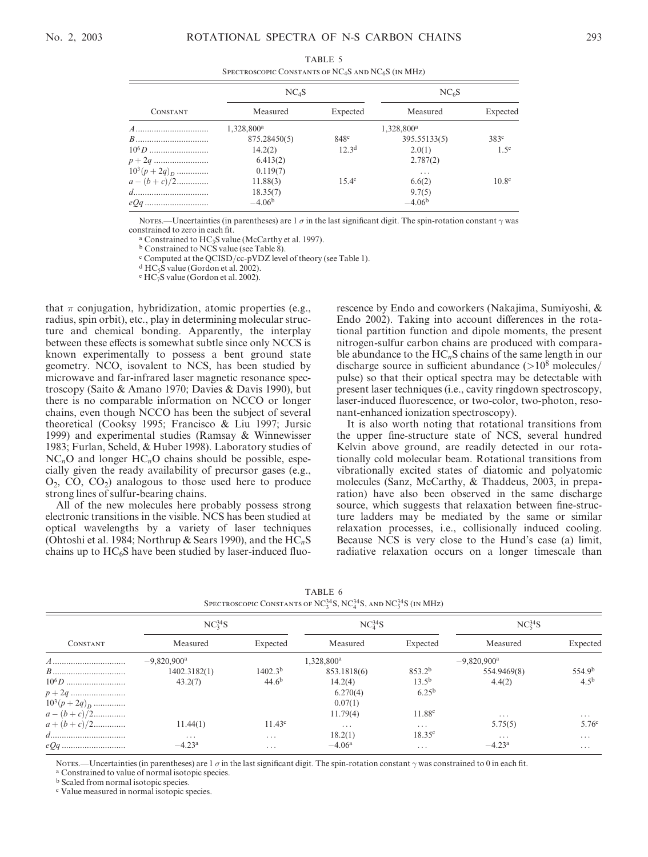| TABLE 5                                                                     |
|-----------------------------------------------------------------------------|
| SPECTROSCOPIC CONSTANTS OF NC <sub>4</sub> S AND NC <sub>6</sub> S (IN MHz) |

|                 | $NC_4S$                |                        | $NC_6S$      |                   |
|-----------------|------------------------|------------------------|--------------|-------------------|
| <b>CONSTANT</b> | Measured               | Expected               | Measured     | Expected          |
|                 | 1,328,800 <sup>a</sup> | 1,328,800 <sup>a</sup> |              |                   |
|                 | 875.28450(5)           | 848 <sup>c</sup>       | 395.55133(5) | 383 <sup>c</sup>  |
|                 | 14.2(2)                | 12.3 <sup>d</sup>      | 2.0(1)       | $1.5^e$           |
|                 | 6.413(2)               |                        | 2.787(2)     |                   |
| $10^3(p+2q)_D$  | 0.119(7)               |                        | $\cdots$     |                   |
| $a - (b + c)/2$ | 11.88(3)               | $15.4^{\circ}$         | 6.6(2)       | 10.8 <sup>c</sup> |
|                 | 18.35(7)               |                        | 9.7(5)       |                   |
|                 | $-4.06b$               |                        | $-4.06b$     |                   |

Notes.—Uncertainties (in parentheses) are 1  $\sigma$  in the last significant digit. The spin-rotation constant  $\gamma$  was constrained to zero in each fit.<br>a Constrained to HC<sub>3</sub>S value (McCarthy et al. 1997).

<sup>b</sup> Constrained to NCS value (see Table 8).

<sup>c</sup> Computed at the QCISD/cc-pVDZ level of theory (see Table 1).<br><sup>d</sup> HC<sub>5</sub>S value (Gordon et al. 2002).

 $\text{H} \cdot \text{HC}_7$ S value (Gordon et al. 2002).

that  $\pi$  conjugation, hybridization, atomic properties (e.g., radius, spin orbit), etc., play in determining molecular structure and chemical bonding. Apparently, the interplay between these effects is somewhat subtle since only NCCS is known experimentally to possess a bent ground state geometry. NCO, isovalent to NCS, has been studied by microwave and far-infrared laser magnetic resonance spectroscopy (Saito & Amano 1970; Davies & Davis 1990), but there is no comparable information on NCCO or longer chains, even though NCCO has been the subject of several theoretical (Cooksy 1995; Francisco & Liu 1997; Jursic 1999) and experimental studies (Ramsay & Winnewisser 1983; Furlan, Scheld, & Huber 1998). Laboratory studies of  $NC_nO$  and longer  $HC_nO$  chains should be possible, especially given the ready availability of precursor gases (e.g.,  $O_2$ ,  $CO$ ,  $CO_2$ ) analogous to those used here to produce strong lines of sulfur-bearing chains.

All of the new molecules here probably possess strong electronic transitions in the visible. NCS has been studied at optical wavelengths by a variety of laser techniques (Ohtoshi et al. 1984; Northrup & Sears 1990), and the  $HC_nS$ chains up to  $HC_6S$  have been studied by laser-induced fluo-

rescence by Endo and coworkers (Nakajima, Sumiyoshi, & Endo 2002). Taking into account differences in the rotational partition function and dipole moments, the present nitrogen-sulfur carbon chains are produced with comparable abundance to the  $HC_nS$  chains of the same length in our discharge source in sufficient abundance  $(>10^8$  molecules/ pulse) so that their optical spectra may be detectable with present laser techniques (i.e., cavity ringdown spectroscopy, laser-induced fluorescence, or two-color, two-photon, resonant-enhanced ionization spectroscopy).

It is also worth noting that rotational transitions from the upper fine-structure state of NCS, several hundred Kelvin above ground, are readily detected in our rotationally cold molecular beam. Rotational transitions from vibrationally excited states of diatomic and polyatomic molecules (Sanz, McCarthy, & Thaddeus, 2003, in preparation) have also been observed in the same discharge source, which suggests that relaxation between fine-structure ladders may be mediated by the same or similar relaxation processes, i.e., collisionally induced cooling. Because NCS is very close to the Hund's case (a) limit, radiative relaxation occurs on a longer timescale than

| TABLE 6                                                                                |
|----------------------------------------------------------------------------------------|
| SPECTROSCOPIC CONSTANTS OF $\rm NC_3^{34}S, NC_4^{34}S,$ and $\rm NC_5^{34}S$ (in MHz) |

|                 | NC <sub>3</sub> <sup>34</sup> S |                         | NC <sub>4</sub> <sup>34</sup> S |                    | NC <sub>5</sub> <sup>34</sup> S |                    |
|-----------------|---------------------------------|-------------------------|---------------------------------|--------------------|---------------------------------|--------------------|
| <b>CONSTANT</b> | Measured                        | Expected                | Measured                        | Expected           | Measured                        | Expected           |
|                 | $-9,820,900$ <sup>a</sup>       |                         | 1,328,800 <sup>a</sup>          |                    | $-9,820,900$ <sup>a</sup>       |                    |
|                 | 1402.3182(1)                    | $1402.3^{b}$            | 853.1818(6)                     | $853.2^{b}$        | 554.9469(8)                     | 554.9 <sup>b</sup> |
|                 | 43.2(7)                         | 44.6 <sup>b</sup>       | 14.2(4)                         | $13.5^{b}$         | 4.4(2)                          | 4.5 <sup>b</sup>   |
|                 |                                 |                         | 6.270(4)                        | $6.25^{b}$         |                                 |                    |
| $10^3(p+2q)_D$  |                                 |                         | 0.07(1)                         |                    |                                 |                    |
| $a - (b + c)/2$ |                                 |                         | 11.79(4)                        | 11.88 <sup>c</sup> | $\cdots$                        | $\cdots$           |
| $a + (b + c)/2$ | 11.44(1)                        | $11.43^c$               | $\cdots$                        | $\cdots$           | 5.75(5)                         | 5.76 <sup>c</sup>  |
|                 | $\cdots$                        | $\cdot$ $\cdot$ $\cdot$ | 18.2(1)                         | 18.35c             | $\cdots$                        | $\cdots$           |
|                 | $-4.23^{\rm a}$                 | $\cdots$                | $-4.06a$                        | $\cdots$           | $-4.23^{\rm a}$                 | $\cdots$           |

Notes.—Uncertainties (in parentheses) are 1  $\sigma$  in the last significant digit. The spin-rotation constant  $\gamma$  was constrained to 0 in each fit.

<sup>a</sup> Constrained to value of normal isotopic species.

<sup>b</sup> Scaled from normal isotopic species.

<sup>c</sup> Value measured in normal isotopic species.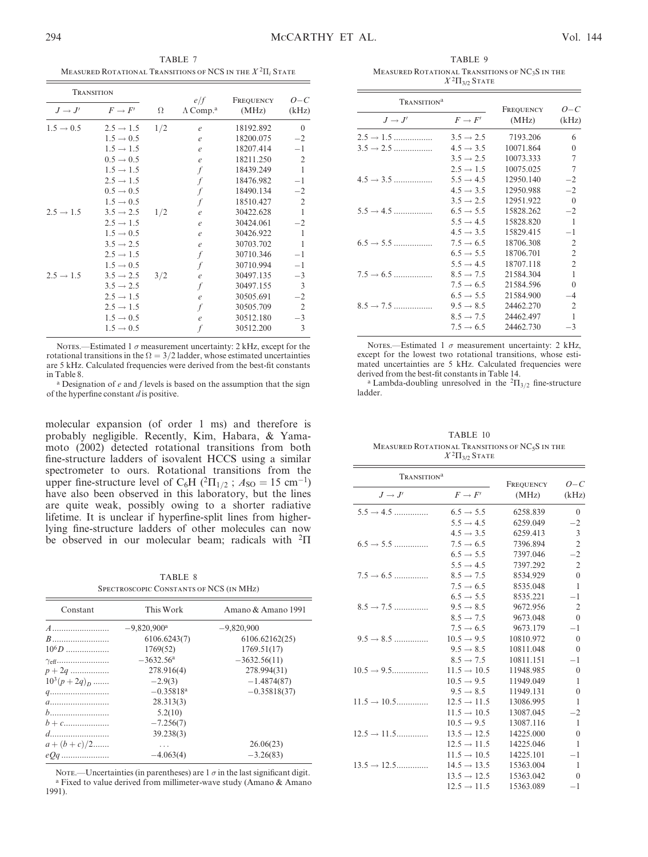TABLE 7 Measured Rotational Transitions of NCS in the  $X^2\Pi_i$  State

| <b>TRANSITION</b>     |                       |     |                                     |                    |                |
|-----------------------|-----------------------|-----|-------------------------------------|--------------------|----------------|
| $J \rightarrow J'$    | $F \to F'$            | Ω   | e/f<br>$\Lambda$ Comp. <sup>a</sup> | FREQUENCY<br>(MHz) | $O-C$<br>(kHz) |
| $1.5 \rightarrow 0.5$ | $2.5 \rightarrow 1.5$ | 1/2 | $\mathcal{C}_{\mathcal{C}}$         | 18192.892          | $\theta$       |
|                       | $1.5 \rightarrow 0.5$ |     | $\mathcal{C}_{\mathcal{C}}$         | 18200.075          | $-2$           |
|                       | $1.5 \rightarrow 1.5$ |     | $\ell$                              | 18207.414          | $-1$           |
|                       | $0.5 \rightarrow 0.5$ |     | $\ell$                              | 18211.250          | $\overline{2}$ |
|                       | $1.5 \rightarrow 1.5$ |     | f                                   | 18439.249          | $\mathbf{1}$   |
|                       | $2.5 \rightarrow 1.5$ |     | f                                   | 18476.982          | $-1$           |
|                       | $0.5 \rightarrow 0.5$ |     | f                                   | 18490.134          | $-2$           |
|                       | $1.5 \rightarrow 0.5$ |     | $\overline{f}$                      | 18510.427          | $\overline{2}$ |
| $2.5 \rightarrow 1.5$ | $3.5 \rightarrow 2.5$ | 1/2 | $\mathcal{C}_{\mathcal{C}}$         | 30422.628          | 1              |
|                       | $2.5 \rightarrow 1.5$ |     | $\ell$                              | 30424.061          | $-2$           |
|                       | $1.5 \rightarrow 0.5$ |     | $\ell$                              | 30426.922          | 1              |
|                       | $3.5 \rightarrow 2.5$ |     | $\ell$                              | 30703.702          | $\mathbf{1}$   |
|                       | $2.5 \rightarrow 1.5$ |     | f                                   | 30710.346          | $-1$           |
|                       | $1.5 \rightarrow 0.5$ |     | f                                   | 30710.994          | $-1$           |
| $2.5 \rightarrow 1.5$ | $3.5 \rightarrow 2.5$ | 3/2 | $\ell$                              | 30497.135          | $-3$           |
|                       | $3.5 \rightarrow 2.5$ |     | f                                   | 30497.155          | 3              |
|                       | $2.5 \rightarrow 1.5$ |     | $\ell$                              | 30505.691          | $-2$           |
|                       | $2.5 \rightarrow 1.5$ |     | f                                   | 30505.709          | $\overline{2}$ |
|                       | $1.5 \rightarrow 0.5$ |     | $\ell$                              | 30512.180          | $-3$           |
|                       | $1.5 \rightarrow 0.5$ |     |                                     | 30512.200          | 3              |

Notes.—Estimated 1  $\sigma$  measurement uncertainty: 2 kHz, except for the rotational transitions in the  $\Omega = 3/2$  ladder, whose estimated uncertainties are 5 kHz. Calculated frequencies were derived from the best-fit constants in Table 8.

a Designation of  $e$  and  $f$  levels is based on the assumption that the sign of the hyperfine constant  $d$  is positive.

molecular expansion (of order 1 ms) and therefore is probably negligible. Recently, Kim, Habara, & Yamamoto (2002) detected rotational transitions from both fine-structure ladders of isovalent HCCS using a similar spectrometer to ours. Rotational transitions from the upper fine-structure level of C<sub>6</sub>H ( $^2\Pi_{1/2}$ ;  $A_{\text{SO}} = 15 \text{ cm}^{-1}$ ) have also been observed in this laboratory, but the lines are quite weak, possibly owing to a shorter radiative lifetime. It is unclear if hyperfine-split lines from higherlying fine-structure ladders of other molecules can now be observed in our molecular beam; radicals with  ${}^{2}\Pi$ 

TABLE 8 Spectroscopic Constants of NCS (in MHz)

| Constant              | This Work          | Amano & Amano 1991 |
|-----------------------|--------------------|--------------------|
|                       | $-9,820,900^a$     | $-9,820,900$       |
|                       | 6106.6243(7)       | 6106.62162(25)     |
| $10^{6}D$             | 1769(52)           | 1769.51(17)        |
| $\gamma_{\text{eff}}$ | $-3632.56^{\rm a}$ | $-3632.56(11)$     |
| $p + 2q$              | 278.916(4)         | 278.994(31)        |
| $10^3(p+2q)_p$        | $-2.9(3)$          | $-1.4874(87)$      |
| $q$                   | $-0.35818a$        | $-0.35818(37)$     |
| $a$                   | 28.313(3)          |                    |
| $b$                   | 5.2(10)            |                    |
|                       | $-7.256(7)$        |                    |
|                       | 39.238(3)          |                    |
| $a + (b + c)/2$       | .                  | 26.06(23)          |
| $eOq$                 | $-4.063(4)$        | $-3.26(83)$        |
|                       |                    |                    |

NOTE.—Uncertainties (in parentheses) are  $1 \sigma$  in the last significant digit. <sup>a</sup> Fixed to value derived from millimeter-wave study (Amano & Amano 1991).

TABLE 9 Measured Rotational Transitions of NC3S in the  $X^2\Pi_{3/2}$  State

| <b>TRANSITION<sup>a</sup></b> |                       | FREQUENCY | 0-C            |
|-------------------------------|-----------------------|-----------|----------------|
| $J \rightarrow J'$            | $F \to F'$            | (MHz)     | (kHz)          |
| $2.5 \rightarrow 1.5$         | $3.5 \rightarrow 2.5$ | 7193.206  | 6              |
| $3.5 \rightarrow 2.5$         | $4.5 \rightarrow 3.5$ | 10071.864 | $\theta$       |
|                               | $3.5 \rightarrow 2.5$ | 10073.333 | 7              |
|                               | $2.5 \rightarrow 1.5$ | 10075.025 | 7              |
| $4.5 \rightarrow 3.5$         | $5.5 \rightarrow 4.5$ | 12950.140 | $-2$           |
|                               | $4.5 \rightarrow 3.5$ | 12950.988 | $-2$           |
|                               | $3.5 \rightarrow 2.5$ | 12951.922 | $\Omega$       |
| $5.5 \rightarrow 4.5$         | $6.5 \rightarrow 5.5$ | 15828 262 | $-2$           |
|                               | $5.5 \rightarrow 4.5$ | 15828.820 | 1              |
|                               | $4.5 \rightarrow 3.5$ | 15829.415 | $-1$           |
| $6.5 \rightarrow 5.5$         | $7.5 \rightarrow 6.5$ | 18706.308 | $\overline{2}$ |
|                               | $6.5 \rightarrow 5.5$ | 18706.701 | $\overline{2}$ |
|                               | $5.5 \rightarrow 4.5$ | 18707.118 | $\overline{2}$ |
| $7.5 \rightarrow 6.5$         | $8.5 \rightarrow 7.5$ | 21584.304 | 1              |
|                               | $7.5 \rightarrow 6.5$ | 21584.596 | $\theta$       |
|                               | $6.5 \rightarrow 5.5$ | 21584.900 | $-4$           |
| $8.5 \rightarrow 7.5$         | $9.5 \rightarrow 8.5$ | 24462.270 | $\overline{2}$ |
|                               | $8.5 \rightarrow 7.5$ | 24462.497 | 1              |
|                               | $7.5 \rightarrow 6.5$ | 24462.730 | $-3$           |

NOTES.—Estimated 1  $\sigma$  measurement uncertainty: 2 kHz, except for the lowest two rotational transitions, whose estimated uncertainties are 5 kHz. Calculated frequencies were derived from the best-fit constants in Table 14.

<sup>a</sup> Lambda-doubling unresolved in the  ${}^{2}$  $\Pi_{3/2}$  fine-structure ladder.

TABLE 10 MEASURED ROTATIONAL TRANSITIONS OF NC<sub>5</sub>S IN THE  $X^2\Pi_{3/2}$  State

| <b>TRANSITION<sup>a</sup></b> |                         | FREQUENCY | $O-C$            |
|-------------------------------|-------------------------|-----------|------------------|
| $J \rightarrow J'$            | $F \to F'$              | (MHz)     | (kHz)            |
| $5.5 \rightarrow 4.5$         | $6.5 \rightarrow 5.5$   | 6258.839  | $\theta$         |
|                               | $5.5 \rightarrow 4.5$   | 6259.049  | $-2$             |
|                               | $4.5 \rightarrow 3.5$   | 6259.413  | 3                |
| $6.5 \rightarrow 5.5$         | $7.5 \rightarrow 6.5$   | 7396.894  | $\overline{2}$   |
|                               | $6.5 \rightarrow 5.5$   | 7397.046  | $-2$             |
|                               | $5.5 \rightarrow 4.5$   | 7397.292  | $\overline{2}$   |
| $7.5 \rightarrow 6.5$         | $8.5 \rightarrow 7.5$   | 8534.929  | $\theta$         |
|                               | $7.5 \rightarrow 6.5$   | 8535.048  | $\mathbf{1}$     |
|                               | $6.5 \rightarrow 5.5$   | 8535.221  | $-1$             |
| $8.5 \rightarrow 7.5$         | $9.5 \rightarrow 8.5$   | 9672.956  | $\overline{2}$   |
|                               | $8.5 \rightarrow 7.5$   | 9673.048  | $\theta$         |
|                               | $7.5 \rightarrow 6.5$   | 9673.179  | $-1$             |
| $9.5 \rightarrow 8.5$         | $10.5 \rightarrow 9.5$  | 10810.972 | $\theta$         |
|                               | $9.5 \rightarrow 8.5$   | 10811.048 | $\theta$         |
|                               | $8.5 \rightarrow 7.5$   | 10811.151 | $-1$             |
| $10.5 \rightarrow 9.5$        | $11.5 \rightarrow 10.5$ | 11948.985 | $\Omega$         |
|                               | $10.5 \rightarrow 9.5$  | 11949.049 | 1                |
|                               | $9.5 \rightarrow 8.5$   | 11949.131 | $\theta$         |
| $11.5 \rightarrow 10.5$       | $12.5 \rightarrow 11.5$ | 13086.995 | 1                |
|                               | $11.5 \rightarrow 10.5$ | 13087.045 | $-2$             |
|                               | $10.5 \rightarrow 9.5$  | 13087.116 | 1                |
| $12.5 \rightarrow 11.5$       | $13.5 \rightarrow 12.5$ | 14225.000 | $\boldsymbol{0}$ |
|                               | $12.5 \rightarrow 11.5$ | 14225.046 | $\mathbf{1}$     |
|                               | $11.5 \rightarrow 10.5$ | 14225.101 | $-1$             |
| $13.5 \rightarrow 12.5$       | $14.5 \rightarrow 13.5$ | 15363.004 | 1                |
|                               | $13.5 \rightarrow 12.5$ | 15363.042 | $\theta$         |
|                               | $12.5 \rightarrow 11.5$ | 15363.089 | $-1$             |
|                               |                         |           |                  |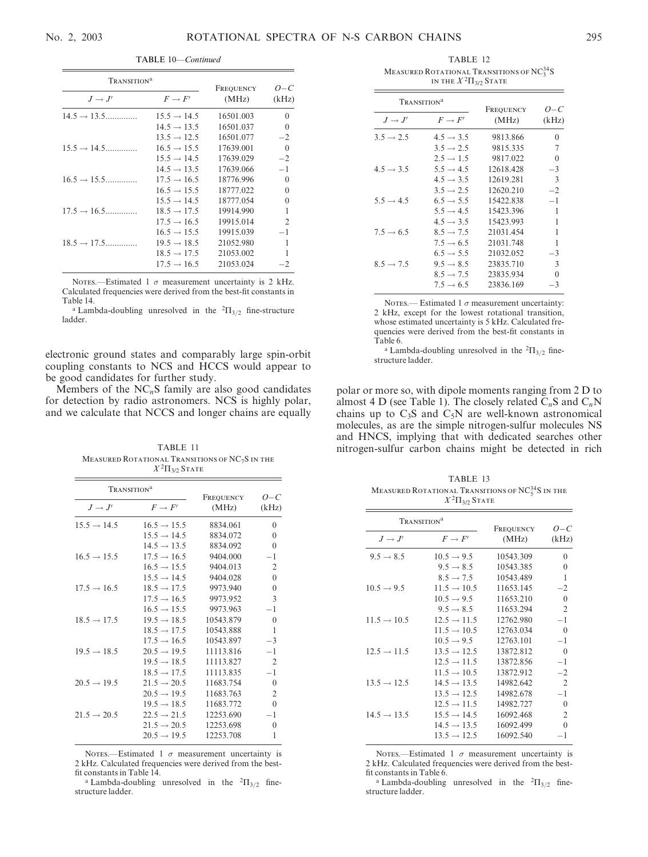TABLE 10—Continued

| <b>TRANSITION<sup>a</sup></b> | FREQUENCY               | 0-C       |          |
|-------------------------------|-------------------------|-----------|----------|
| $J \rightarrow J'$            | $F \to F'$              | (MHz)     | (kHz)    |
| $14.5 \rightarrow 13.5$       | $15.5 \rightarrow 14.5$ | 16501.003 | $\theta$ |
|                               | $14.5 \rightarrow 13.5$ | 16501.037 | $\Omega$ |
|                               | $13.5 \rightarrow 12.5$ | 16501.077 | $-2$     |
| $15.5 \rightarrow 14.5$       | $16.5 \rightarrow 15.5$ | 17639.001 | $\theta$ |
|                               | $15.5 \rightarrow 14.5$ | 17639.029 | $-2$     |
|                               | $14.5 \rightarrow 13.5$ | 17639.066 | $-1$     |
| $16.5 \rightarrow 15.5$       | $17.5 \rightarrow 16.5$ | 18776.996 | $\theta$ |
|                               | $16.5 \rightarrow 15.5$ | 18777.022 | $\Omega$ |
|                               | $15.5 \rightarrow 14.5$ | 18777.054 | $\Omega$ |
| $17.5 \rightarrow 16.5$       | $18.5 \rightarrow 17.5$ | 19914.990 | 1        |
|                               | $17.5 \rightarrow 16.5$ | 19915.014 | 2        |
|                               | $16.5 \rightarrow 15.5$ | 19915.039 | $-1$     |
| $18.5 \rightarrow 17.5$       | $19.5 \rightarrow 18.5$ | 21052.980 | 1        |
|                               | $18.5 \rightarrow 17.5$ | 21053.002 | 1        |
|                               | $17.5 \rightarrow 16.5$ | 21053.024 | $^{-2}$  |

NOTES.—Estimated 1  $\sigma$  measurement uncertainty is 2 kHz. Calculated frequencies were derived from the best-fit constants in Table 14.

<sup>a</sup> Lambda-doubling unresolved in the  ${}^{2}\Pi_{3/2}$  fine-structure ladder.

electronic ground states and comparably large spin-orbit coupling constants to NCS and HCCS would appear to be good candidates for further study.

Members of the  $NC_nS$  family are also good candidates for detection by radio astronomers. NCS is highly polar, and we calculate that NCCS and longer chains are equally

Measured Rotational Transitions of NC7S in the  $X^2\Pi_{3/2}$  State

| <b>TRANSITION<sup>a</sup></b> |                         | FREQUENCY | $O-C$          |
|-------------------------------|-------------------------|-----------|----------------|
| $J \rightarrow J'$            | $F \to F'$              | (MHz)     | (kHz)          |
| $15.5 \rightarrow 14.5$       | $16.5 \rightarrow 15.5$ | 8834.061  | $\theta$       |
|                               | $15.5 \rightarrow 14.5$ | 8834.072  | $\theta$       |
|                               | $14.5 \rightarrow 13.5$ | 8834.092  | $\Omega$       |
| $16.5 \rightarrow 15.5$       | $17.5 \rightarrow 16.5$ | 9404.000  | $-1$           |
|                               | $16.5 \rightarrow 15.5$ | 9404.013  | $\overline{2}$ |
|                               | $15.5 \rightarrow 14.5$ | 9404.028  | $\theta$       |
| $17.5 \rightarrow 16.5$       | $18.5 \rightarrow 17.5$ | 9973.940  | $\theta$       |
|                               | $17.5 \rightarrow 16.5$ | 9973.952  | 3              |
|                               | $16.5 \rightarrow 15.5$ | 9973.963  | $-1$           |
| $18.5 \rightarrow 17.5$       | $19.5 \rightarrow 18.5$ | 10543.879 | $\theta$       |
|                               | $18.5 \rightarrow 17.5$ | 10543.888 | $\mathbf{1}$   |
|                               | $17.5 \rightarrow 16.5$ | 10543.897 | $-3$           |
| $19.5 \rightarrow 18.5$       | $20.5 \rightarrow 19.5$ | 11113.816 | $-1$           |
|                               | $19.5 \rightarrow 18.5$ | 11113.827 | $\overline{2}$ |
|                               | $18.5 \rightarrow 17.5$ | 11113.835 | $-1$           |
| $20.5 \rightarrow 19.5$       | $21.5 \rightarrow 20.5$ | 11683.754 | $\theta$       |
|                               | $20.5 \rightarrow 19.5$ | 11683.763 | $\overline{2}$ |
|                               | $19.5 \rightarrow 18.5$ | 11683.772 | $\theta$       |
| $21.5 \rightarrow 20.5$       | $22.5 \rightarrow 21.5$ | 12253.690 | $-1$           |
|                               | $21.5 \rightarrow 20.5$ | 12253.698 | $\theta$       |
|                               | $20.5 \rightarrow 19.5$ | 12253.708 | 1              |

NOTES.—Estimated 1  $\sigma$  measurement uncertainty is 2 kHz. Calculated frequencies were derived from the bestfit constants in Table 14.

TABLE 12 MEASURED ROTATIONAL TRANSITIONS OF NC<sup>34</sup>S IN THE  $X^2\Pi_{3/2}$  State

| <b>TRANSITION</b> <sup>a</sup> |                       | FREQUENCY | 0-C      |
|--------------------------------|-----------------------|-----------|----------|
| $J \rightarrow J'$             | $F \to F'$            | (MHz)     | (kHz)    |
| $3.5 \rightarrow 2.5$          | $4.5 \rightarrow 3.5$ | 9813.866  | 0        |
|                                | $3.5 \rightarrow 2.5$ | 9815.335  | 7        |
|                                | $2.5 \rightarrow 1.5$ | 9817.022  | 0        |
| $4.5 \rightarrow 3.5$          | $5.5 \rightarrow 4.5$ | 12618.428 | $-3$     |
|                                | $4.5 \rightarrow 3.5$ | 12619.281 | 3        |
|                                | $3.5 \rightarrow 2.5$ | 12620.210 | $-2$     |
| $5.5 \rightarrow 4.5$          | $6.5 \rightarrow 5.5$ | 15422.838 | $-1$     |
|                                | $5.5 \rightarrow 4.5$ | 15423.396 | 1        |
|                                | $4.5 \rightarrow 3.5$ | 15423.993 | 1        |
| $7.5 \rightarrow 6.5$          | $8.5 \rightarrow 7.5$ | 21031.454 | 1        |
|                                | $7.5 \rightarrow 6.5$ | 21031.748 | 1        |
|                                | $6.5 \rightarrow 5.5$ | 21032.052 | $-3$     |
| $8.5 \rightarrow 7.5$          | $9.5 \rightarrow 8.5$ | 23835.710 | 3        |
|                                | $8.5 \rightarrow 7.5$ | 23835.934 | $\Omega$ |
|                                | $7.5 \rightarrow 6.5$ | 23836.169 | $-3$     |

NOTES.— Estimated 1  $\sigma$  measurement uncertainty: 2 kHz, except for the lowest rotational transition, whose estimated uncertainty is 5 kHz. Calculated frequencies were derived from the best-fit constants in Table 6.

<sup>a</sup> Lambda-doubling unresolved in the  ${}^{2} \Pi_{3/2}$  finestructure ladder.

polar or more so, with dipole moments ranging from 2 D to almost 4 D (see Table 1). The closely related  $C_nS$  and  $C_nN$ chains up to  $C_3S$  and  $C_5N$  are well-known astronomical molecules, as are the simple nitrogen-sulfur molecules NS and HNCS, implying that with dedicated searches other TABLE 11 nitrogen-sulfur carbon chains might be detected in rich

TABLE 13 Measured Rotational Transitions of  $NC_5^{34}$ S in the  $X^2\Pi_{3/2}$  State

| <b>TRANSITION<sup>a</sup></b> |                         | FREQUENCY | 0-C            |
|-------------------------------|-------------------------|-----------|----------------|
| $J \to J'$                    | $F \to F'$              | (MHz)     | (kHz)          |
| $9.5 \rightarrow 8.5$         | $10.5 \rightarrow 9.5$  | 10543.309 | $\Omega$       |
|                               | $9.5 \rightarrow 8.5$   | 10543.385 | $\mathbf{0}$   |
|                               | $8.5 \rightarrow 7.5$   | 10543.489 | 1              |
| $10.5 \rightarrow 9.5$        | $11.5 \rightarrow 10.5$ | 11653.145 | $-2$           |
|                               | $10.5 \rightarrow 9.5$  | 11653.210 | $\theta$       |
|                               | $9.5 \rightarrow 8.5$   | 11653.294 | $\overline{2}$ |
| $11.5 \rightarrow 10.5$       | $12.5 \rightarrow 11.5$ | 12762.980 | $-1$           |
|                               | $11.5 \rightarrow 10.5$ | 12763.034 | $\Omega$       |
|                               | $10.5 \rightarrow 9.5$  | 12763.101 | $-1$           |
| $12.5 \rightarrow 11.5$       | $13.5 \rightarrow 12.5$ | 13872.812 | $\theta$       |
|                               | $12.5 \rightarrow 11.5$ | 13872.856 | $-1$           |
|                               | $11.5 \rightarrow 10.5$ | 13872.912 | $-2$           |
| $13.5 \rightarrow 12.5$       | $14.5 \rightarrow 13.5$ | 14982.642 | $\overline{2}$ |
|                               | $13.5 \rightarrow 12.5$ | 14982.678 | $-1$           |
|                               | $12.5 \rightarrow 11.5$ | 14982.727 | $\mathbf{0}$   |
| $14.5 \rightarrow 13.5$       | $15.5 \rightarrow 14.5$ | 16092.468 | $\overline{2}$ |
|                               | $14.5 \rightarrow 13.5$ | 16092.499 | $\theta$       |
|                               | $13.5 \rightarrow 12.5$ | 16092.540 | $^{-1}$        |
|                               |                         |           |                |

NOTES.—Estimated 1  $\sigma$  measurement uncertainty is 2 kHz. Calculated frequencies were derived from the bestfit constants in Table 6.

<sup>a</sup> Lambda-doubling unresolved in the  ${}^{2} \Pi_{3/2}$  finestructure ladder.

<sup>&</sup>lt;sup>a</sup> Lambda-doubling unresolved in the  ${}^{2}$  $\Pi_{3/2}$  finestructure ladder.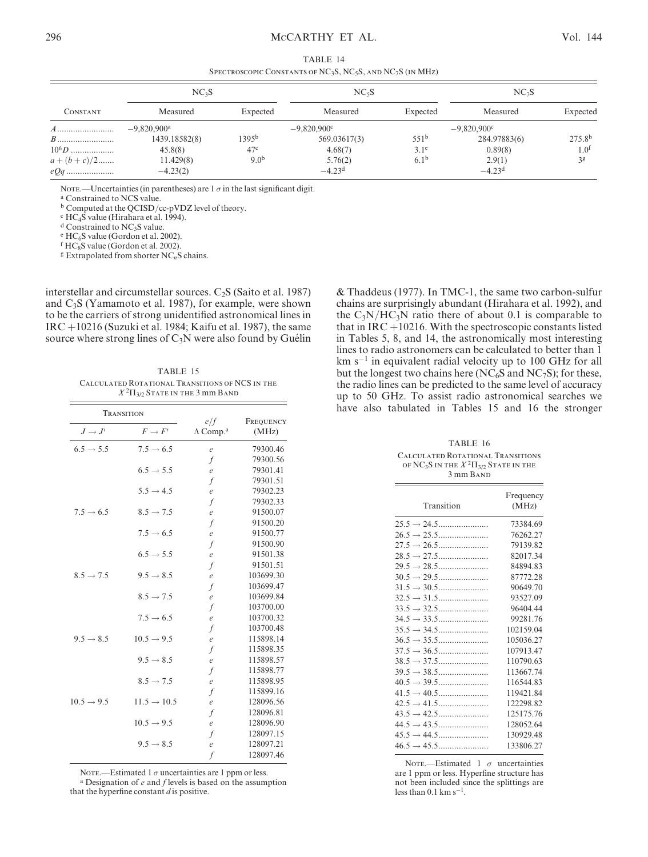TABLE 14 Spectroscopic Constants of NC3S, NC5S, and NC7S (in MHz)

|                 | NC <sub>3</sub> S         |                   | NC <sub>5</sub> S    |                  | NC <sub>7</sub> S    |                  |
|-----------------|---------------------------|-------------------|----------------------|------------------|----------------------|------------------|
| <b>CONSTANT</b> | Measured                  | Expected          | Measured             | Expected         | Measured             | Expected         |
|                 | $-9.820.900$ <sup>a</sup> |                   | $-9.820.900^{\circ}$ |                  | $-9.820.900^{\circ}$ |                  |
|                 | 1439.18582(8)             | 1395 <sup>b</sup> | 569.03617(3)         | $551^{b}$        | 284.97883(6)         | $275.8^{b}$      |
| $10^6 D$        | 45.8(8)                   | 47 <sup>c</sup>   | 4.68(7)              | 3.1 <sup>e</sup> | 0.89(8)              | 1.0 <sup>t</sup> |
| $a + (b + c)/2$ | 11.429(8)                 | 9.0 <sup>b</sup>  | 5.76(2)              | $6.1^{b}$        | 2.9(1)               | 3 <sup>g</sup>   |
| $eOq$           | $-4.23(2)$                |                   | $-4.23d$             |                  | $-4.23d$             |                  |

NOTE.—Uncertainties (in parentheses) are  $1 \sigma$  in the last significant digit.

<sup>a</sup> Constrained to NCS value.

 $b$  Computed at the QCISD/cc-pVDZ level of theory.<br>  $c$  HC<sub>4</sub>S value (Hirahara et al. 1994).

<sup>d</sup> Constrained to NC<sub>3</sub>S value.<br><sup>e</sup> HC<sub>6</sub>S value (Gordon et al. 2002).<br><sup>f</sup> HC<sub>8</sub>S value (Gordon et al. 2002).<br><sup>g</sup> Extrapolated from shorter NC<sub>n</sub>S chains.

interstellar and circumstellar sources.  $C_2S$  (Saito et al. 1987) and C3S (Yamamoto et al. 1987), for example, were shown to be the carriers of strong unidentified astronomical lines in IRC +10216 (Suzuki et al. 1984; Kaifu et al. 1987), the same source where strong lines of  $C_3N$  were also found by Guélin

TABLE 15 Calculated Rotational Transitions of NCS in the  $X^2\Pi_{3/2}$  State in the 3 mm Band

| <b>TRANSITION</b>      |                         | e/f                          | FREQUENCY |
|------------------------|-------------------------|------------------------------|-----------|
| $J \rightarrow J'$     | $F \to F'$              | $\Lambda$ Comp. <sup>a</sup> | (MHz)     |
| $6.5 \rightarrow 5.5$  | $7.5 \rightarrow 6.5$   | $\ell$                       | 79300.46  |
|                        |                         | f                            | 79300.56  |
|                        | $6.5 \rightarrow 5.5$   | $\ell$                       | 79301.41  |
|                        |                         | f                            | 79301.51  |
|                        | $5.5 \rightarrow 4.5$   | $\ell$                       | 79302.23  |
|                        |                         | f                            | 79302.33  |
| $7.5 \rightarrow 6.5$  | $8.5 \rightarrow 7.5$   | $\mathfrak{e}$               | 91500.07  |
|                        |                         | f                            | 91500.20  |
|                        | $7.5 \rightarrow 6.5$   | $\mathfrak{e}$               | 91500.77  |
|                        |                         | f                            | 91500.90  |
|                        | $6.5 \rightarrow 5.5$   | $\boldsymbol{e}$             | 91501.38  |
|                        |                         | f                            | 91501.51  |
| $8.5 \rightarrow 7.5$  | $9.5 \rightarrow 8.5$   | e                            | 103699.30 |
|                        |                         | f                            | 103699.47 |
|                        | $8.5 \rightarrow 7.5$   | $\mathfrak{e}$               | 103699.84 |
|                        |                         | f                            | 103700.00 |
|                        | $7.5 \rightarrow 6.5$   | $\mathfrak{e}$               | 103700.32 |
|                        |                         | f                            | 103700.48 |
| $9.5 \rightarrow 8.5$  | $10.5 \rightarrow 9.5$  | $\mathfrak{e}$               | 115898.14 |
|                        |                         | f                            | 115898.35 |
|                        | $9.5 \rightarrow 8.5$   | $\mathcal{C}_{0}$            | 115898.57 |
|                        |                         | f                            | 115898.77 |
|                        | $8.5 \rightarrow 7.5$   | $\mathfrak{e}$               | 115898.95 |
|                        |                         | f                            | 115899.16 |
| $10.5 \rightarrow 9.5$ | $11.5 \rightarrow 10.5$ | $\boldsymbol{e}$             | 128096.56 |
|                        |                         | f                            | 128096.81 |
|                        | $10.5 \rightarrow 9.5$  | $\mathfrak{e}$               | 128096.90 |
|                        |                         | f                            | 128097.15 |
|                        | $9.5 \rightarrow 8.5$   | $\mathcal{C}_{\mathcal{C}}$  | 128097.21 |
|                        |                         | f                            | 128097.46 |

NOTE.—Estimated 1  $\sigma$  uncertainties are 1 ppm or less.

 $a$  Designation of  $e$  and  $f$  levels is based on the assumption that the hyperfine constant  $d$  is positive.

& Thaddeus (1977). In TMC-1, the same two carbon-sulfur chains are surprisingly abundant (Hirahara et al. 1992), and the  $C_3N/HC_3N$  ratio there of about 0.1 is comparable to that in  $IRC +10216$ . With the spectroscopic constants listed in Tables 5, 8, and 14, the astronomically most interesting lines to radio astronomers can be calculated to better than 1  $km s<sup>-1</sup>$  in equivalent radial velocity up to 100 GHz for all but the longest two chains here (NC<sub>6</sub>S and NC<sub>7</sub>S); for these, the radio lines can be predicted to the same level of accuracy up to 50 GHz. To assist radio astronomical searches we have also tabulated in Tables 15 and 16 the stronger

TABLE 16 Calculated Rotational Transitions OF NC<sub>3</sub>S IN THE  $X^2\Pi_{3/2}$  State in the 3 mm Band

| Transition                                            | Frequency<br>(MHz) |
|-------------------------------------------------------|--------------------|
|                                                       | 73384.69           |
|                                                       | 76262.27           |
|                                                       | 79139.82           |
|                                                       | 82017.34           |
|                                                       | 84894.83           |
|                                                       | 87772.28           |
|                                                       | 90649.70           |
|                                                       | 93527.09           |
|                                                       | 96404.44           |
| $34.5 \rightarrow 33.5 \dots \dots \dots \dots \dots$ | 99281.76           |
|                                                       | 102159.04          |
|                                                       | 105036.27          |
|                                                       | 107913.47          |
|                                                       | 110790.63          |
|                                                       | 113667.74          |
| $40.5 \rightarrow 39.5 \dots \dots \dots \dots \dots$ | 116544.83          |
|                                                       | 119421.84          |
|                                                       | 122298.82          |
| $43.5 \rightarrow 42.5 \dots \dots \dots \dots \dots$ | 125175.76          |
| $44.5 \rightarrow 43.5 \dots $                        | 128052.64          |
|                                                       | 130929.48          |
| $46.5 \rightarrow 45.5 \dots \dots \dots \dots \dots$ | 133806.27          |

NOTE.—Estimated 1  $\sigma$  uncertainties are 1 ppm or less. Hyperfine structure has not been included since the splittings are less than 0.1 km  $\rm s^{-1}.$